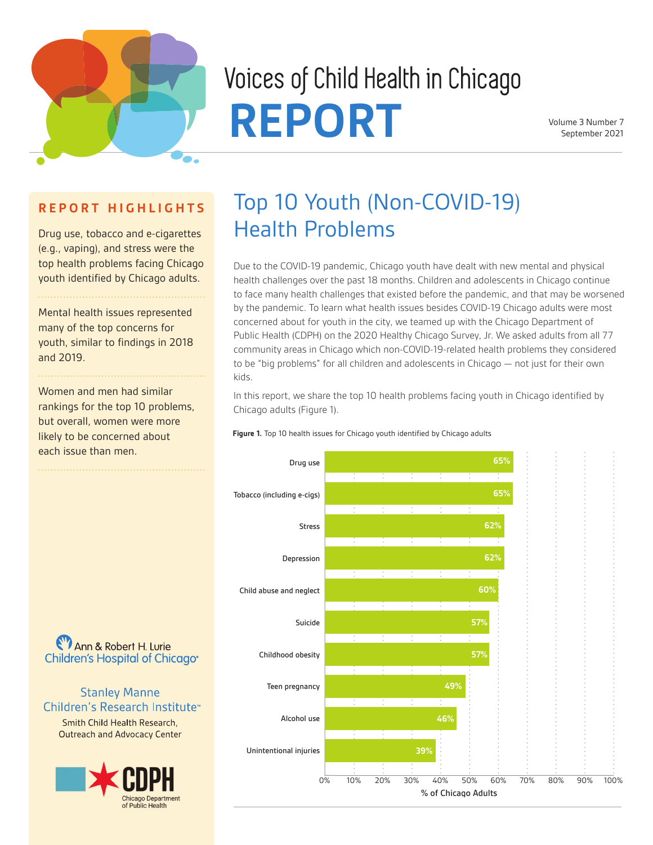

# Voices of Child Health in Chicago REPORT Volume 3 Number 7<br>September 2021

# **R E P O R T H I G H L I G H T S**

Drug use, tobacco and e-cigarettes (e.g., vaping), and stress were the top health problems facing Chicago youth identified by Chicago adults.

Mental health issues represented many of the top concerns for youth, similar to findings in 2018 and 2019.

Women and men had similar rankings for the top 10 problems, but overall, women were more likely to be concerned about each issue than men.

# Top 10 Youth (Non-COVID-19) Health Problems

Due to the COVID-19 pandemic, Chicago youth have dealt with new mental and physical health challenges over the past 18 months. Children and adolescents in Chicago continue to face many health challenges that existed before the pandemic, and that may be worsened by the pandemic. To learn what health issues besides COVID-19 Chicago adults were most concerned about for youth in the city, we teamed up with the Chicago Department of Public Health (CDPH) on the 2020 Healthy Chicago Survey, Jr. We asked adults from all 77 community areas in Chicago which non-COVID-19-related health problems they considered to be "big problems" for all children and adolescents in Chicago — not just for their own kids.

In this report, we share the top 10 health problems facing youth in Chicago identified by Chicago adults (Figure 1).

**Figure 1.** Top 10 health issues for Chicago youth identified by Chicago adults



(V) Ann & Robert H. Lurie Children's Hospital of Chicago<sup>®</sup>

# **Stanley Manne** Children's Research Institute<sup>®</sup>

Smith Child Health Research, **Outreach and Advocacy Center** 

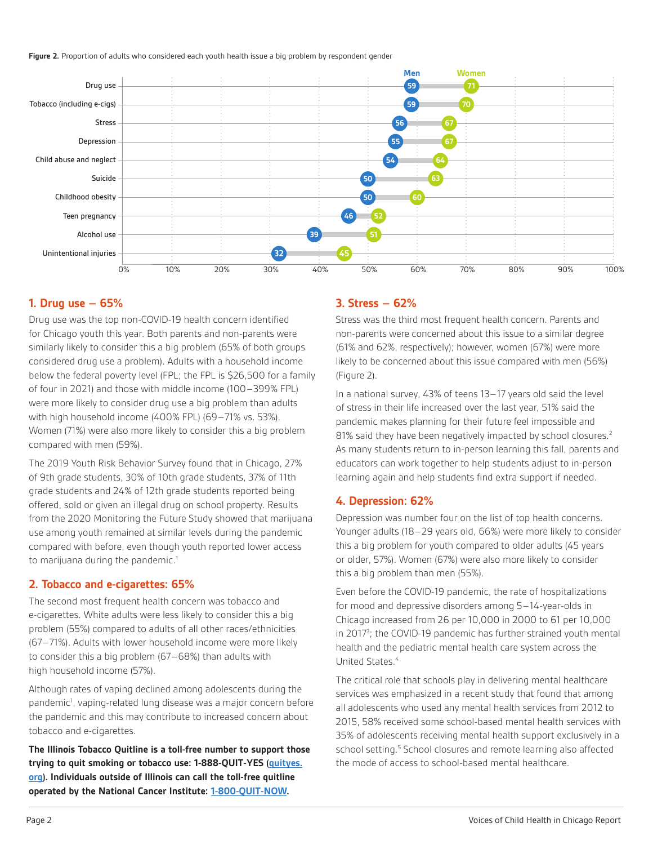Figure 2. Proportion of adults who considered each youth health issue a big problem by respondent gender



### **1. Drug use – 65%**

Drug use was the top non-COVID-19 health concern identified for Chicago youth this year. Both parents and non-parents were similarly likely to consider this a big problem (65% of both groups considered drug use a problem). Adults with a household income below the federal poverty level (FPL; the FPL is \$26,500 for a family of four in 2021) and those with middle income (100–399% FPL) were more likely to consider drug use a big problem than adults with high household income (400% FPL) (69–71% vs. 53%). Women (71%) were also more likely to consider this a big problem compared with men (59%).

The 2019 Youth Risk Behavior Survey found that in Chicago, 27% of 9th grade students, 30% of 10th grade students, 37% of 11th grade students and 24% of 12th grade students reported being offered, sold or given an illegal drug on school property. Results from the 2020 Monitoring the Future Study showed that marijuana use among youth remained at similar levels during the pandemic compared with before, even though youth reported lower access to marijuana during the pandemic.<sup>1</sup>

#### **2. Tobacco and e-cigarettes: 65%**

The second most frequent health concern was tobacco and e-cigarettes. White adults were less likely to consider this a big problem (55%) compared to adults of all other races/ethnicities (67–71%). Adults with lower household income were more likely to consider this a big problem (67–68%) than adults with high household income (57%).

Although rates of vaping declined among adolescents during the pandemic<sup>1</sup>, vaping-related lung disease was a major concern before the pandemic and this may contribute to increased concern about tobacco and e-cigarettes.

**The Illinois Tobacco Quitline is a toll-free number to support those trying to quit smoking or tobacco use: 1-888-QUIT-YES [\(quityes.](http://www.quityes.org/) [org](http://www.quityes.org/)). Individuals outside of Illinois can call the toll-free quitline operated by the National Cancer Institute: [1-800-QUIT-NOW](https://www.cdc.gov/tobacco/quit_smoking/cessation/faq-about-1-800-quit-now/index.html).**

#### **3. Stress – 62%**

Stress was the third most frequent health concern. Parents and non-parents were concerned about this issue to a similar degree (61% and 62%, respectively); however, women (67%) were more likely to be concerned about this issue compared with men (56%) (Figure 2).

In a national survey, 43% of teens 13–17 years old said the level of stress in their life increased over the last year, 51% said the pandemic makes planning for their future feel impossible and 81% said they have been negatively impacted by school closures.<sup>2</sup> As many students return to in-person learning this fall, parents and educators can work together to help students adjust to in-person learning again and help students find extra support if needed.

### **4. Depression: 62%**

Depression was number four on the list of top health concerns. Younger adults (18–29 years old, 66%) were more likely to consider this a big problem for youth compared to older adults (45 years or older, 57%). Women (67%) were also more likely to consider this a big problem than men (55%).

Even before the COVID-19 pandemic, the rate of hospitalizations for mood and depressive disorders among 5–14-year-olds in Chicago increased from 26 per 10,000 in 2000 to 61 per 10,000 in 2017<sup>3</sup>; the COVID-19 pandemic has further strained youth mental health and the pediatric mental health care system across the United States.<sup>4</sup>

The critical role that schools play in delivering mental healthcare services was emphasized in a recent study that found that among all adolescents who used any mental health services from 2012 to 2015, 58% received some school-based mental health services with 35% of adolescents receiving mental health support exclusively in a school setting.<sup>5</sup> School closures and remote learning also affected the mode of access to school-based mental healthcare.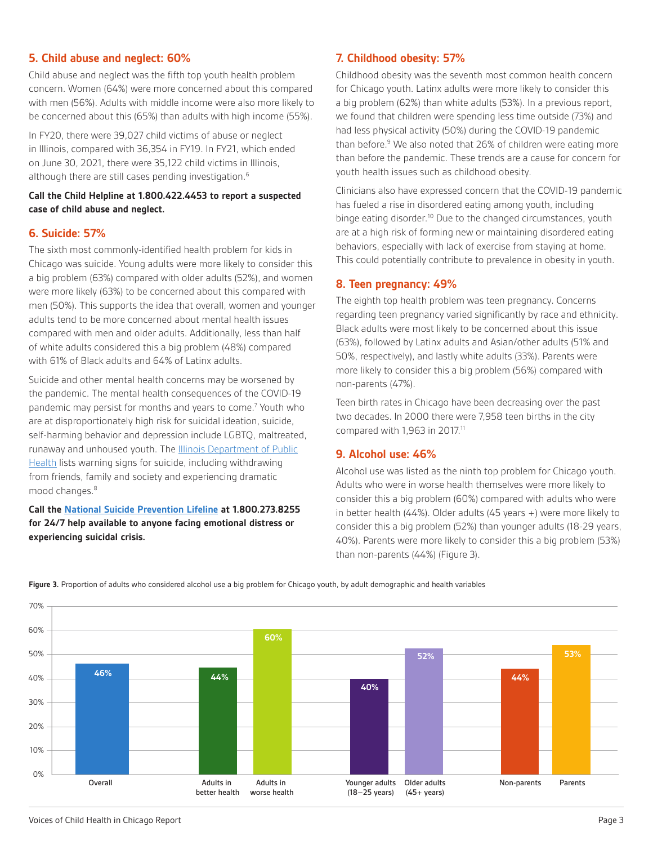# **5. Child abuse and neglect: 60%**

Child abuse and neglect was the fifth top youth health problem concern. Women (64%) were more concerned about this compared with men (56%). Adults with middle income were also more likely to be concerned about this (65%) than adults with high income (55%).

In FY20, there were 39,027 child victims of abuse or neglect in Illinois, compared with 36,354 in FY19. In FY21, which ended on June 30, 2021, there were 35,122 child victims in Illinois, although there are still cases pending investigation.<sup>6</sup>

### **Call the Child Helpline at 1.800.422.4453 to report a suspected case of child abuse and neglect.**

#### **6. Suicide: 57%**

The sixth most commonly-identified health problem for kids in Chicago was suicide. Young adults were more likely to consider this a big problem (63%) compared with older adults (52%), and women were more likely (63%) to be concerned about this compared with men (50%). This supports the idea that overall, women and younger adults tend to be more concerned about mental health issues compared with men and older adults. Additionally, less than half of white adults considered this a big problem (48%) compared with 61% of Black adults and 64% of Latinx adults.

Suicide and other mental health concerns may be worsened by the pandemic. The mental health consequences of the COVID-19 pandemic may persist for months and years to come.<sup>7</sup> Youth who are at disproportionately high risk for suicidal ideation, suicide, self-harming behavior and depression include LGBTQ, maltreated, runaway and unhoused youth. The [Illinois Department of Public](https://dph.illinois.gov/topics-services/prevention-wellness/suicide-prevention) [Health](https://dph.illinois.gov/topics-services/prevention-wellness/suicide-prevention) lists warning signs for suicide, including withdrawing from friends, family and society and experiencing dramatic mood changes.<sup>8</sup>

# **Call the [National Suicide Prevention Lifeline](https://suicidepreventionlifeline.org/talk-to-someone-now/) at 1.800.273.8255 for 24/7 help available to anyone facing emotional distress or experiencing suicidal crisis.**

# **7. Childhood obesity: 57%**

Childhood obesity was the seventh most common health concern for Chicago youth. Latinx adults were more likely to consider this a big problem (62%) than white adults (53%). In a previous report, we found that children were spending less time outside (73%) and had less physical activity (50%) during the COVID-19 pandemic than before.<sup>9</sup> We also noted that 26% of children were eating more than before the pandemic. These trends are a cause for concern for youth health issues such as childhood obesity.

Clinicians also have expressed concern that the COVID-19 pandemic has fueled a rise in disordered eating among youth, including binge eating disorder.<sup>10</sup> Due to the changed circumstances, youth are at a high risk of forming new or maintaining disordered eating behaviors, especially with lack of exercise from staying at home. This could potentially contribute to prevalence in obesity in youth.

# **8. Teen pregnancy: 49%**

The eighth top health problem was teen pregnancy. Concerns regarding teen pregnancy varied significantly by race and ethnicity. Black adults were most likely to be concerned about this issue (63%), followed by Latinx adults and Asian/other adults (51% and 50%, respectively), and lastly white adults (33%). Parents were more likely to consider this a big problem (56%) compared with non-parents (47%).

Teen birth rates in Chicago have been decreasing over the past two decades. In 2000 there were 7,958 teen births in the city compared with 1,963 in 2017.<sup>11</sup>

# **9. Alcohol use: 46%**

Alcohol use was listed as the ninth top problem for Chicago youth. Adults who were in worse health themselves were more likely to consider this a big problem (60%) compared with adults who were in better health (44%). Older adults (45 years +) were more likely to consider this a big problem (52%) than younger adults (18-29 years, 40%). Parents were more likely to consider this a big problem (53%) than non-parents (44%) (Figure 3).



**Figure 3.** Proportion of adults who considered alcohol use a big problem for Chicago youth, by adult demographic and health variables